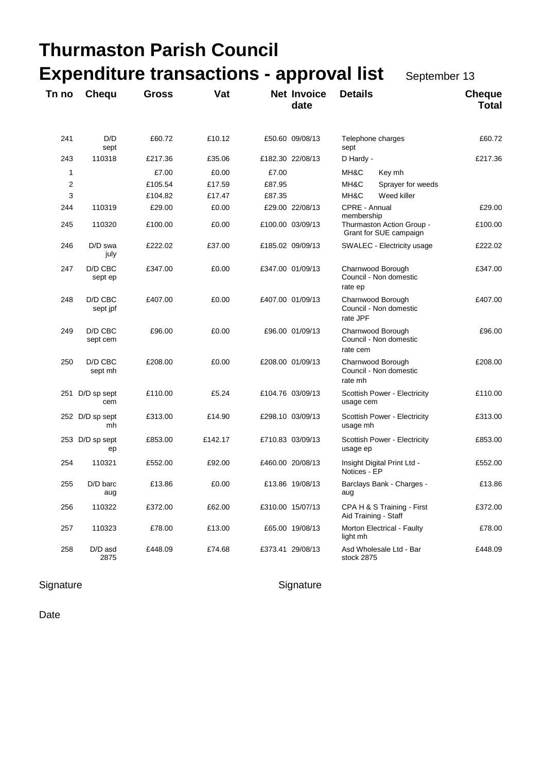|                |                        | <b>Thurmaston Parish Council</b>                |         |        |                            |                                                         |                               |
|----------------|------------------------|-------------------------------------------------|---------|--------|----------------------------|---------------------------------------------------------|-------------------------------|
|                |                        | <b>Expenditure transactions - approval list</b> |         |        |                            | September 13                                            |                               |
| Tn no          | Chequ                  | <b>Gross</b>                                    | Vat     |        | <b>Net Invoice</b><br>date | <b>Details</b>                                          | <b>Cheque</b><br><b>Total</b> |
| 241            | D/D<br>sept            | £60.72                                          | £10.12  |        | £50.60 09/08/13            | Telephone charges<br>sept                               | £60.72                        |
| 243            | 110318                 | £217.36                                         | £35.06  |        | £182.30 22/08/13           | D Hardy -                                               | £217.36                       |
| 1              |                        | £7.00                                           | £0.00   | £7.00  |                            | MH&C<br>Key mh                                          |                               |
| $\overline{2}$ |                        | £105.54                                         | £17.59  | £87.95 |                            | MH&C<br>Sprayer for weeds                               |                               |
| 3              |                        | £104.82                                         | £17.47  | £87.35 |                            | MH&C<br>Weed killer                                     |                               |
| 244            | 110319                 | £29.00                                          | £0.00   |        | £29.00 22/08/13            | CPRE - Annual<br>membership                             | £29.00                        |
| 245            | 110320                 | £100.00                                         | £0.00   |        | £100.00 03/09/13           | Thurmaston Action Group -<br>Grant for SUE campaign     | £100.00                       |
| 246            | D/D swa<br>july        | £222.02                                         | £37.00  |        | £185.02 09/09/13           | SWALEC - Electricity usage                              | £222.02                       |
| 247            | D/D CBC<br>sept ep     | £347.00                                         | £0.00   |        | £347.00 01/09/13           | Charnwood Borough<br>Council - Non domestic<br>rate ep  | £347.00                       |
| 248            | D/D CBC<br>sept jpf    | £407.00                                         | £0.00   |        | £407.00 01/09/13           | Charnwood Borough<br>Council - Non domestic<br>rate JPF | £407.00                       |
| 249            | D/D CBC<br>sept cem    | £96.00                                          | £0.00   |        | £96.00 01/09/13            | Charnwood Borough<br>Council - Non domestic<br>rate cem | £96.00                        |
| 250            | D/D CBC<br>sept mh     | £208.00                                         | £0.00   |        | £208.00 01/09/13           | Charnwood Borough<br>Council - Non domestic<br>rate mh  | £208.00                       |
|                | 251 D/D sp sept<br>cem | £110.00                                         | £5.24   |        | £104.76 03/09/13           | Scottish Power - Electricity<br>usage cem               | £110.00                       |
|                | 252 D/D sp sept<br>mh  | £313.00                                         | £14.90  |        | £298.10 03/09/13           | Scottish Power - Electricity<br>usage mh                | £313.00                       |
|                | 253 D/D sp sept<br>ep  | £853.00                                         | £142.17 |        | £710.83 03/09/13           | Scottish Power - Electricity<br>usage ep                | £853.00                       |
| 254            | 110321                 | £552.00                                         | £92.00  |        | £460.00 20/08/13           | Insight Digital Print Ltd -<br>Notices - EP             | £552.00                       |
| 255            | D/D barc<br>aug        | £13.86                                          | £0.00   |        | £13.86 19/08/13            | Barclays Bank - Charges -<br>aug                        | £13.86                        |
| 256            | 110322                 | £372.00                                         | £62.00  |        | £310.00 15/07/13           | CPA H & S Training - First<br>Aid Training - Staff      | £372.00                       |
| 257            | 110323                 | £78.00                                          | £13.00  |        | £65.00 19/08/13            | Morton Electrical - Faulty<br>light mh                  | £78.00                        |
| 258            | D/D asd<br>2875        | £448.09                                         | £74.68  |        | £373.41 29/08/13           | Asd Wholesale Ltd - Bar<br>stock 2875                   | £448.09                       |

### Signature Signature Signature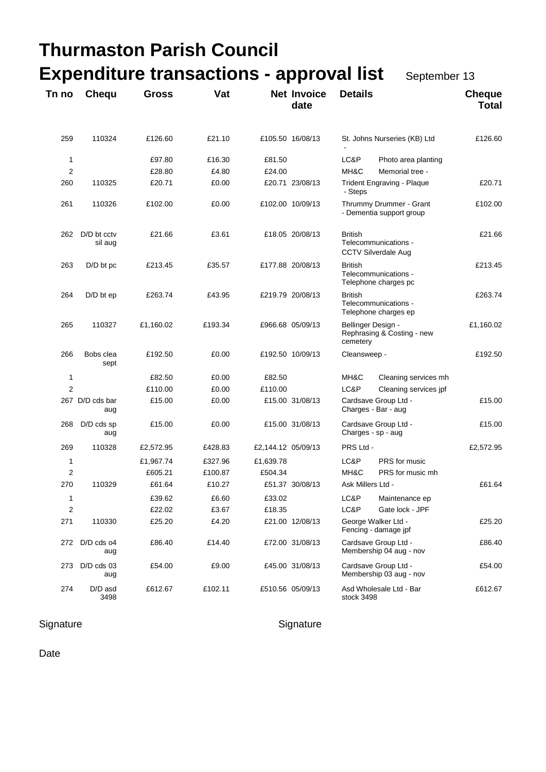|                |                        | <b>Thurmaston Parish Council</b>                |         |                    |                            |                                |                                                     |                               |
|----------------|------------------------|-------------------------------------------------|---------|--------------------|----------------------------|--------------------------------|-----------------------------------------------------|-------------------------------|
|                |                        | <b>Expenditure transactions - approval list</b> |         |                    |                            |                                | September 13                                        |                               |
| Tn no          | Chequ                  | <b>Gross</b>                                    | Vat     |                    | <b>Net Invoice</b><br>date | <b>Details</b>                 |                                                     | <b>Cheque</b><br><b>Total</b> |
| 259            | 110324                 | £126.60                                         | £21.10  |                    | £105.50 16/08/13           |                                | St. Johns Nurseries (KB) Ltd                        | £126.60                       |
| 1              |                        | £97.80                                          | £16.30  | £81.50             |                            | LC&P                           | Photo area planting                                 |                               |
| 2              |                        | £28.80                                          | £4.80   | £24.00             |                            | MH&C                           | Memorial tree -                                     |                               |
| 260            | 110325                 | £20.71                                          | £0.00   |                    | £20.71 23/08/13            | - Steps                        | <b>Trident Engraving - Plaque</b>                   | £20.71                        |
| 261            | 110326                 | £102.00                                         | £0.00   |                    | £102.00 10/09/13           |                                | Thrummy Drummer - Grant<br>- Dementia support group | £102.00                       |
| 262            | D/D bt cctv<br>sil aug | £21.66                                          | £3.61   |                    | £18.05 20/08/13            | <b>British</b>                 | Telecommunications -<br><b>CCTV Silverdale Aug</b>  | £21.66                        |
| 263            | D/D bt pc              | £213.45                                         | £35.57  |                    | £177.88 20/08/13           | <b>British</b>                 | Telecommunications -<br>Telephone charges pc        | £213.45                       |
| 264            | $D/D$ bt ep            | £263.74                                         | £43.95  |                    | £219.79 20/08/13           | <b>British</b>                 | Telecommunications -<br>Telephone charges ep        | £263.74                       |
| 265            | 110327                 | £1,160.02                                       | £193.34 |                    | £966.68 05/09/13           | Bellinger Design -<br>cemetery | Rephrasing & Costing - new                          | £1,160.02                     |
| 266            | Bobs clea<br>sept      | £192.50                                         | £0.00   |                    | £192.50 10/09/13           | Cleansweep -                   |                                                     | £192.50                       |
| 1              |                        | £82.50                                          | £0.00   | £82.50             |                            | MH&C                           | Cleaning services mh                                |                               |
| $\overline{2}$ |                        | £110.00                                         | £0.00   | £110.00            |                            | LC&P                           | Cleaning services jpf                               |                               |
|                | 267 D/D cds bar<br>aug | £15.00                                          | £0.00   |                    | £15.00 31/08/13            | Charges - Bar - aug            | Cardsave Group Ltd -                                | £15.00                        |
| 268            | D/D cds sp<br>aug      | £15.00                                          | £0.00   |                    | £15.00 31/08/13            | Charges - sp - aug             | Cardsave Group Ltd -                                | £15.00                        |
| 269            | 110328                 | £2,572.95                                       | £428.83 | £2,144.12 05/09/13 |                            | PRS Ltd -                      |                                                     | £2,572.95                     |
| 1              |                        | £1,967.74                                       | £327.96 | £1,639.78          |                            | LC&P                           | PRS for music                                       |                               |
| 2              |                        | £605.21                                         | £100.87 | £504.34            |                            | MH&C                           | PRS for music mh                                    |                               |
| 270            | 110329                 | £61.64                                          | £10.27  |                    | £51.37 30/08/13            | Ask Millers Ltd -              |                                                     | £61.64                        |
| 1              |                        | £39.62                                          | £6.60   | £33.02             |                            | LC&P                           | Maintenance ep                                      |                               |
| 2              |                        | £22.02                                          | £3.67   | £18.35             |                            | LC&P                           | Gate lock - JPF                                     |                               |
| 271            | 110330                 | £25.20                                          | £4.20   |                    | £21.00 12/08/13            |                                | George Walker Ltd -<br>Fencing - damage jpf         | £25.20                        |
| 272            | D/D cds o4<br>aug      | £86.40                                          | £14.40  |                    | £72.00 31/08/13            |                                | Cardsave Group Ltd -<br>Membership 04 aug - nov     | £86.40                        |
| 273            | $D/D$ cds 03<br>aug    | £54.00                                          | £9.00   |                    | £45.00 31/08/13            |                                | Cardsave Group Ltd -<br>Membership 03 aug - nov     | £54.00                        |
| 274            | D/D asd<br>3498        | £612.67                                         | £102.11 |                    | £510.56 05/09/13           | stock 3498                     | Asd Wholesale Ltd - Bar                             | £612.67                       |

### Signature Signature Signature Signature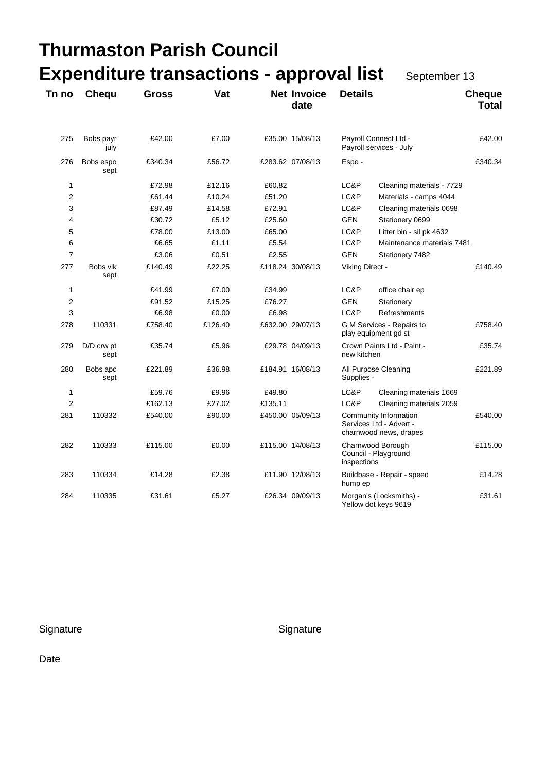# **Thurmaston Parish Council Expenditure transactions - approval list** September 13

| Tn no          | Chequ              | <b>Gross</b> | Vat     |         | <b>Net Invoice</b><br>date | <b>Details</b>                                           |                                                                            | <b>Cheque</b><br><b>Total</b> |
|----------------|--------------------|--------------|---------|---------|----------------------------|----------------------------------------------------------|----------------------------------------------------------------------------|-------------------------------|
| 275            | Bobs payr<br>july  | £42.00       | £7.00   |         | £35.00 15/08/13            |                                                          | Payroll Connect Ltd -<br>Payroll services - July                           | £42.00                        |
| 276            | Bobs espo<br>sept  | £340.34      | £56.72  |         | £283.62 07/08/13           | Espo-                                                    |                                                                            | £340.34                       |
| 1              |                    | £72.98       | £12.16  | £60.82  |                            | LC&P                                                     | Cleaning materials - 7729                                                  |                               |
| $\overline{2}$ |                    | £61.44       | £10.24  | £51.20  |                            | LC&P                                                     | Materials - camps 4044                                                     |                               |
| 3              |                    | £87.49       | £14.58  | £72.91  |                            | LC&P                                                     | Cleaning materials 0698                                                    |                               |
| 4              |                    | £30.72       | £5.12   | £25.60  |                            | <b>GEN</b>                                               | Stationery 0699                                                            |                               |
| 5              |                    | £78.00       | £13.00  | £65.00  |                            | LC&P                                                     | Litter bin - sil pk 4632                                                   |                               |
| 6              |                    | £6.65        | £1.11   | £5.54   |                            | LC&P                                                     | Maintenance materials 7481                                                 |                               |
| $\overline{7}$ |                    | £3.06        | £0.51   | £2.55   |                            | <b>GEN</b>                                               | Stationery 7482                                                            |                               |
| 277            | Bobs vik<br>sept   | £140.49      | £22.25  |         | £118.24 30/08/13           | Viking Direct -                                          |                                                                            | £140.49                       |
| 1              |                    | £41.99       | £7.00   | £34.99  |                            | LC&P                                                     | office chair ep                                                            |                               |
| $\overline{c}$ |                    | £91.52       | £15.25  | £76.27  |                            | GEN                                                      | Stationery                                                                 |                               |
| 3              |                    | £6.98        | £0.00   | £6.98   |                            | LC&P                                                     | <b>Refreshments</b>                                                        |                               |
| 278            | 110331             | £758.40      | £126.40 |         | £632.00 29/07/13           |                                                          | G M Services - Repairs to<br>play equipment gd st                          | £758.40                       |
| 279            | D/D crw pt<br>sept | £35.74       | £5.96   |         | £29.78 04/09/13            | Crown Paints Ltd - Paint -<br>new kitchen                |                                                                            | £35.74                        |
| 280            | Bobs apc<br>sept   | £221.89      | £36.98  |         | £184.91 16/08/13           | Supplies -                                               | All Purpose Cleaning                                                       | £221.89                       |
| $\mathbf{1}$   |                    | £59.76       | £9.96   | £49.80  |                            | LC&P                                                     | Cleaning materials 1669                                                    |                               |
| $\overline{2}$ |                    | £162.13      | £27.02  | £135.11 |                            | LC&P                                                     | Cleaning materials 2059                                                    |                               |
| 281            | 110332             | £540.00      | £90.00  |         | £450.00 05/09/13           |                                                          | Community Information<br>Services Ltd - Advert -<br>charnwood news, drapes | £540.00                       |
| 282            | 110333             | £115.00      | £0.00   |         | £115.00 14/08/13           | Charnwood Borough<br>Council - Playground<br>inspections |                                                                            | £115.00                       |
| 283            | 110334             | £14.28       | £2.38   |         | £11.90 12/08/13            | hump ep                                                  | Buildbase - Repair - speed                                                 | £14.28                        |
| 284            | 110335             | £31.61       | £5.27   |         | £26.34 09/09/13            |                                                          | Morgan's (Locksmiths) -<br>Yellow dot keys 9619                            | £31.61                        |

Signature Signature Signature Signature